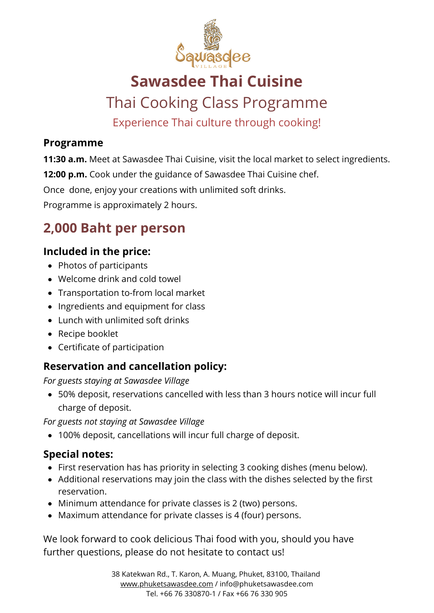

# **Sawasdee Thai Cuisine**

## Thai Cooking Class Programme

Experience Thai culture through cooking!

#### **Programme**

**11:30 a.m.** Meet at Sawasdee Thai Cuisine, visit the local market to select ingredients.

**12:00 p.m.** Cook under the guidance of Sawasdee Thai Cuisine chef.

Once done, enjoy your creations with unlimited soft drinks.

Programme is approximately 2 hours.

## **2,000 Baht per person**

### **Included in the price:**

- Photos of participants
- Welcome drink and cold towel
- Transportation to-from local market
- Ingredients and equipment for class
- Lunch with unlimited soft drinks
- Recipe booklet
- Certificate of participation

### **Reservation and cancellation policy:**

*For guests staying at Sawasdee Village*

50% deposit, reservations cancelled with less than 3 hours notice will incur full charge of deposit.

*For guests not staying at Sawasdee Village*

100% deposit, cancellations will incur full charge of deposit.

### **Special notes:**

- First reservation has has priority in selecting 3 cooking dishes (menu below).
- Additional reservations may join the class with the dishes selected by the first reservation.
- Minimum attendance for private classes is 2 (two) persons.
- Maximum attendance for private classes is 4 (four) persons.

We look forward to cook delicious Thai food with you, should you have further questions, please do not hesitate to contact us!